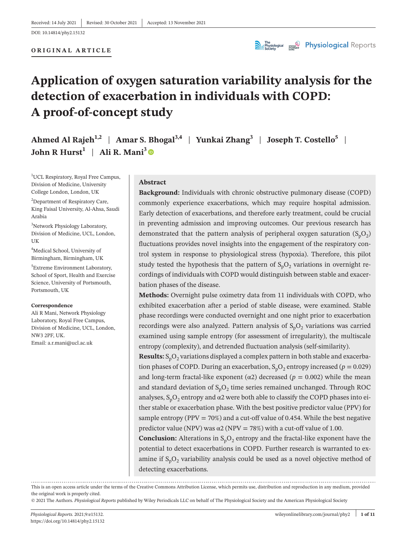#### **ORIGINAL ARTICLE**



# **Application of oxygen saturation variability analysis for the detection of exacerbation in individuals with COPD: A proof-of-concept study**

**Ahmed Al Rajeh<sup>1,2</sup> | Amar S. Bhogal**<sup>3,4</sup> | Yunkai Zhang<sup>3</sup> | Joseph T. Costello<sup>5</sup> | **John R Hurst**<sup>1</sup> | Ali R. Mani<sup>3</sup>  $\bullet$ 

<sup>1</sup>UCL Respiratory, Royal Free Campus, Division of Medicine, University College London, London, UK

<sup>2</sup>Department of Respiratory Care, King Faisal University, Al-Ahsa, Saudi Arabia

3 Network Physiology Laboratory, Division of Medicine, UCL, London, UK

4 Medical School, University of Birmingham, Birmingham, UK

5 Extreme Environment Laboratory, School of Sport, Health and Exercise Science, University of Portsmouth, Portsmouth, UK

#### **Correspondence**

Ali R Mani, Network Physiology Laboratory, Royal Free Campus, Division of Medicine, UCL, London, NW3 2PF, UK. Email: [a.r.mani@ucl.ac.uk](mailto:a.r.mani@ucl.ac.uk)

### **Abstract**

**Background:** Individuals with chronic obstructive pulmonary disease (COPD) commonly experience exacerbations, which may require hospital admission. Early detection of exacerbations, and therefore early treatment, could be crucial in preventing admission and improving outcomes. Our previous research has demonstrated that the pattern analysis of peripheral oxygen saturation  $(S_nO_2)$ fluctuations provides novel insights into the engagement of the respiratory control system in response to physiological stress (hypoxia). Therefore, this pilot study tested the hypothesis that the pattern of  $S_nO_2$  variations in overnight recordings of individuals with COPD would distinguish between stable and exacerbation phases of the disease.

**Methods:** Overnight pulse oximetry data from 11 individuals with COPD, who exhibited exacerbation after a period of stable disease, were examined. Stable phase recordings were conducted overnight and one night prior to exacerbation recordings were also analyzed. Pattern analysis of  $S_nO_2$  variations was carried examined using sample entropy (for assessment of irregularity), the multiscale entropy (complexity), and detrended fluctuation analysis (self-similarity).

**Results:**  $S_pO_2$  variations displayed a complex pattern in both stable and exacerbation phases of COPD. During an exacerbation,  $S_pO_2$  entropy increased ( $p = 0.029$ ) and long-term fractal-like exponent ( $\alpha$ 2) decreased ( $p = 0.002$ ) while the mean and standard deviation of  $S_pO_2$  time series remained unchanged. Through ROC analyses,  $S_pO_2$  entropy and  $\alpha$ 2 were both able to classify the COPD phases into either stable or exacerbation phase. With the best positive predictor value (PPV) for sample entropy (PPV =  $70\%$ ) and a cut-off value of 0.454. While the best negative predictor value (NPV) was  $\alpha$ 2 (NPV = 78%) with a cut-off value of 1.00.

**Conclusion:** Alterations in  $S_pO_2$  entropy and the fractal-like exponent have the potential to detect exacerbations in COPD. Further research is warranted to examine if  $S_pO_2$  variability analysis could be used as a novel objective method of detecting exacerbations.

This is an open access article under the terms of the Creative Commons [Attribution](http://creativecommons.org/licenses/by/4.0/) License, which permits use, distribution and reproduction in any medium, provided the original work is properly cited.

© 2021 The Authors. *Physiological Reports* published by Wiley Periodicals LLC on behalf of The Physiological Society and the American Physiological Society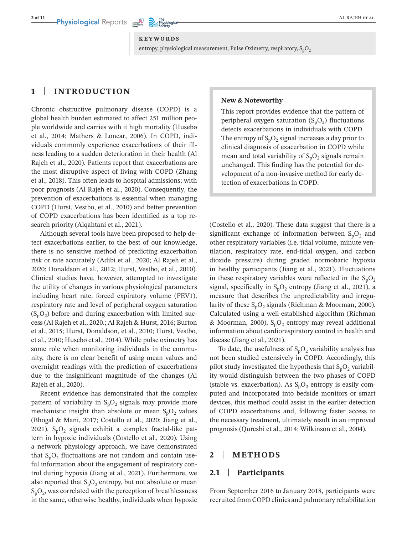#### **KEYWORDS**

entropy, physiological measurement, Pulse Oximetry, respiratory,  $S_pO_2$ 

# **1** | **INTRODUCTION**

Chronic obstructive pulmonary disease (COPD) is a global health burden estimated to affect 251 million people worldwide and carries with it high mortality (Husebø et al., 2014; Mathers & Loncar, 2006). In COPD, individuals commonly experience exacerbations of their illness leading to a sudden deterioration in their health (Al Rajeh et al., 2020). Patients report that exacerbations are the most disruptive aspect of living with COPD (Zhang et al., 2018). This often leads to hospital admissions; with poor prognosis (Al Rajeh et al., 2020). Consequently, the prevention of exacerbations is essential when managing COPD (Hurst, Vestbo, et al., 2010) and better prevention of COPD exacerbations has been identified as a top research priority (Alqahtani et al., 2021).

Although several tools have been proposed to help detect exacerbations earlier, to the best of our knowledge, there is no sensitive method of predicting exacerbation risk or rate accurately (Adibi et al., 2020; Al Rajeh et al., 2020; Donaldson et al., 2012; Hurst, Vestbo, et al., 2010). Clinical studies have, however, attempted to investigate the utility of changes in various physiological parameters including heart rate, forced expiratory volume (FEV1), respiratory rate and level of peripheral oxygen saturation  $(S_pO_2)$  before and during exacerbation with limited success (Al Rajeh et al., 2020.; Al Rajeh & Hurst, 2016; Burton et al., 2015; Hurst, Donaldson, et al., 2010; Hurst, Vestbo, et al., 2010; Husebø et al., 2014). While pulse oximetry has some role when monitoring individuals in the community, there is no clear benefit of using mean values and overnight readings with the prediction of exacerbations due to the insignificant magnitude of the changes (Al Rajeh et al., 2020).

Recent evidence has demonstrated that the complex pattern of variability in  $S_pO_2$  signals may provide more mechanistic insight than absolute or mean  $S_pO_2$  values (Bhogal & Mani, 2017; Costello et al., 2020; Jiang et al., 2021).  $S_pO_2$  signals exhibit a complex fractal-like pattern in hypoxic individuals (Costello et al., 2020). Using a network physiology approach, we have demonstrated that  $S_pO_2$  fluctuations are not random and contain useful information about the engagement of respiratory control during hypoxia (Jiang et al., 2021). Furthermore, we also reported that  $S_pO_2$  entropy, but not absolute or mean  $S_pO_2$ , was correlated with the perception of breathlessness in the same, otherwise healthy, individuals when hypoxic

### **New & Noteworthy**

This report provides evidence that the pattern of peripheral oxygen saturation  $(S_nO_2)$  fluctuations detects exacerbations in individuals with COPD. The entropy of  $S_pO_2$  signal increases a day prior to clinical diagnosis of exacerbation in COPD while mean and total variability of  $S_pO_2$  signals remain unchanged. This finding has the potential for development of a non-invasive method for early detection of exacerbations in COPD.

(Costello et al., 2020). These data suggest that there is a significant exchange of information between  $S_pO_2$  and other respiratory variables (i.e. tidal volume, minute ventilation, respiratory rate, end-tidal oxygen, and carbon dioxide pressure) during graded normobaric hypoxia in healthy participants (Jiang et al., 2021). Fluctuations in these respiratory variables were reflected in the  $S_nO_2$ signal, specifically in  $S_pO_2$  entropy (Jiang et al., 2021), a measure that describes the unpredictability and irregularity of these  $S_nO_2$  signals (Richman & Moorman, 2000). Calculated using a well-established algorithm (Richman & Moorman, 2000),  $S_pO_2$  entropy may reveal additional information about cardiorespiratory control in health and disease (Jiang et al., 2021).

To date, the usefulness of  $S_pO_2$  variability analysis has not been studied extensively in COPD. Accordingly, this pilot study investigated the hypothesis that  $S_pO_2$  variability would distinguish between the two phases of COPD (stable vs. exacerbation). As  $S_pO_2$  entropy is easily computed and incorporated into bedside monitors or smart devices, this method could assist in the earlier detection of COPD exacerbations and, following faster access to the necessary treatment, ultimately result in an improved prognosis (Qureshi et al., 2014; Wilkinson et al., 2004).

# **2** | **METHODS**

### **2.1** | **Participants**

From September 2016 to January 2018, participants were recruited from COPD clinics and pulmonary rehabilitation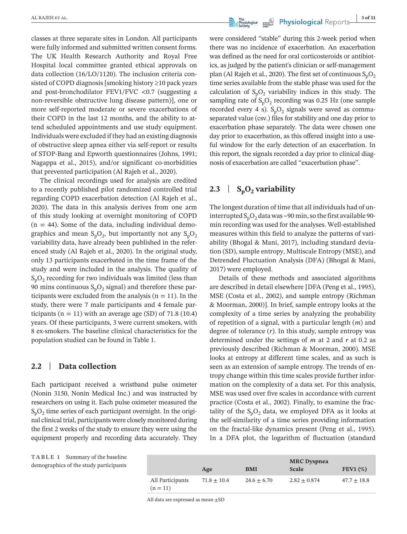classes at three separate sites in London. All participants were fully informed and submitted written consent forms. The UK Health Research Authority and Royal Free Hospital local committee granted ethical approvals on data collection (16/LO/1120). The inclusion criteria consisted of COPD diagnosis [smoking history ≥10 pack years and post-bronchodilator FEV1/FVC <0.7 (suggesting a non-reversible obstructive lung disease pattern)], one or more self-reported moderate or severe exacerbations of their COPD in the last 12 months, and the ability to attend scheduled appointments and use study equipment. Individuals were excluded if they had an existing diagnosis of obstructive sleep apnea either via self-report or results of STOP-Bang and Epworth questionnaires (Johns, 1991; Nagappa et al., 2015), and/or significant co-morbidities that prevented participation (Al Rajeh et al., 2020).

The clinical recordings used for analysis are credited to a recently published pilot randomized controlled trial regarding COPD exacerbation detection (Al Rajeh et al., 2020). The data in this analysis derives from one arm of this study looking at overnight monitoring of COPD  $(n = 44)$ . Some of the data, including individual demographics and mean  $S_pO_2$ , but importantly not any  $S_pO_2$ variability data, have already been published in the referenced study (Al Rajeh et al., 2020). In the original study, only 13 participants exacerbated in the time frame of the study and were included in the analysis. The quality of  $S_nO_2$  recording for two individuals was limited (less than 90 mins continuous  $S_pO_2$  signal) and therefore these participants were excluded from the analysis ( $n = 11$ ). In the study, there were 7 male participants and 4 female participants ( $n = 11$ ) with an average age (SD) of 71.8 (10.4) years. Of these participants, 3 were current smokers, with 8 ex-smokers. The baseline clinical characteristics for the population studied can be found in Table 1.

# **2.2** | **Data collection**

Each participant received a wristband pulse oximeter (Nonin 3150, Nonin Medical Inc.) and was instructed by researchers on using it. Each pulse oximeter measured the  $S_pO_2$  time series of each participant overnight. In the original clinical trial, participants were closely monitored during the first 2 weeks of the study to ensure they were using the equipment properly and recording data accurately. They

**TABLE 1** Summary of the baseline demographics of the study participants



were considered "stable" during this 2-week period when there was no incidence of exacerbation. An exacerbation was defined as the need for oral corticosteroids or antibiotics, as judged by the patient's clinician or self-management plan (Al Rajeh et al., 2020). The first set of continuous  $S_pO_2$ time series available from the stable phase was used for the calculation of  $S_pO_2$  variability indices in this study. The sampling rate of  $S_pO_2$  recording was 0.25 Hz (one sample recorded every 4 s).  $S_pO_2$  signals were saved as commaseparated value (csv.) files for stability and one day prior to exacerbation phase separately. The data were chosen one day prior to exacerbation, as this offered insight into a useful window for the early detection of an exacerbation. In this report, the signals recorded a day prior to clinical diagnosis of exacerbation are called "exacerbation phase".

# **2.3** |  $S_pO_2$  variability

The longest duration of time that all individuals had of uninterrupted  $S_pO_2$  data was ~90 min, so the first available 90min recording was used for the analyses. Well-established measures within this field to analyze the patterns of variability (Bhogal & Mani, 2017), including standard deviation (SD), sample entropy, Multiscale Entropy (MSE), and Detrended Fluctuation Analysis (DFA) (Bhogal & Mani, 2017) were employed.

Details of these methods and associated algorithms are described in detail elsewhere [DFA (Peng et al., 1995), MSE (Costa et al., 2002), and sample entropy (Richman & Moorman, 2000)]. In brief, sample entropy looks at the complexity of a time series by analyzing the probability of repetition of a signal, with a particular length (*m*) and degree of tolerance (*r*). In this study, sample entropy was determined under the settings of *m* at 2 and *r* at 0.2 as previously described (Richman & Moorman, 2000). MSE looks at entropy at different time scales, and as such is seen as an extension of sample entropy. The trends of entropy change within this time scales provide further information on the complexity of a data set. For this analysis, MSE was used over five scales in accordance with current practice (Costa et al., 2002). Finally, to examine the fractality of the  $S_pO_2$  data, we employed DFA as it looks at the self-similarity of a time series providing information on the fractal-like dynamics present (Peng et al., 1995). In a DFA plot, the logarithm of fluctuation (standard

|                                | Age             | <b>BMI</b>      | <b>MRC</b> Dyspnea<br><b>Scale</b> | FEV1 $(\%)$     |
|--------------------------------|-----------------|-----------------|------------------------------------|-----------------|
| All Participants<br>$(n = 11)$ | $71.8 \pm 10.4$ | $24.6 \pm 6.70$ | $2.82 \pm 0.874$                   | $47.7 \pm 18.8$ |

All data are expressed as mean ±SD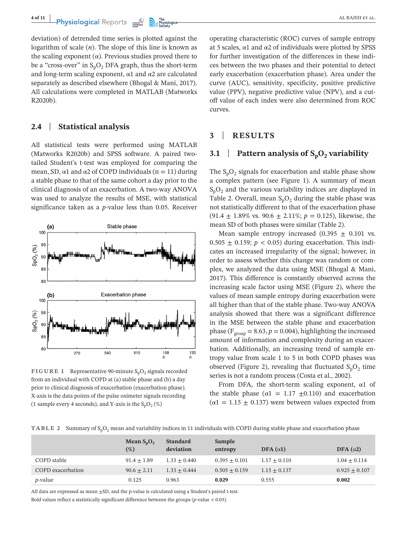**4 of 11 Physiological** Reports **and the proposal contract of the proposal contract of the proposal contract of the proposal contract of the proposal contract of the proposal contract of the proposal contract of the prop** 

deviation) of detrended time series is plotted against the logarithm of scale (*n*). The slope of this line is known as the scaling exponent ( $\alpha$ ). Previous studies proved there to be a "cross-over" in  $S_nO_2$  DFA graph, thus the short-term and long-term scaling exponent,  $\alpha$ 1 and  $\alpha$ 2 are calculated separately as described elsewhere (Bhogal & Mani, 2017). All calculations were completed in MATLAB (Matworks R2020b).

# **2.4** | **Statistical analysis**

All statistical tests were performed using MATLAB (Matworks R2020b) and SPSS software. A paired twotailed Student's t-test was employed for comparing the mean, SD,  $\alpha$ 1 and  $\alpha$ 2 of COPD individuals (n = 11) during a stable phase to that of the same cohort a day prior to the clinical diagnosis of an exacerbation. A two-way ANOVA was used to analyze the results of MSE, with statistical significance taken as a *p*-value less than 0.05. Receiver



**FIGURE 1** Representative 90-minute  $S_nO_2$  signals recorded from an individual with COPD at (a) stable phase and (b) a day prior to clinical diagnosis of exacerbation (exacerbation phase). X-axis is the data points of the pulse oximeter signals recording (1 sample every 4 seconds), and Y-axis is the  $S_pO_2(\%)$ 

operating characteristic (ROC) curves of sample entropy at 5 scales,  $\alpha$ 1 and  $\alpha$ 2 of individuals were plotted by SPSS for further investigation of the differences in these indices between the two phases and their potential to detect early exacerbation (exacerbation phase). Area under the curve (AUC), sensitivity, specificity, positive predictive value (PPV), negative predictive value (NPV), and a cutoff value of each index were also determined from ROC curves.

# **3** | **RESULTS**

## **3.1** | **Pattern analysis of**  $S_pO_2$  **variability**

The  $S_pO_2$  signals for exacerbation and stable phase show a complex pattern (see Figure 1). A summary of mean  $S_pO_2$  and the various variability indices are displayed in Table 2. Overall, mean  $S_nO_2$  during the stable phase was not statistically different to that of the exacerbation phase  $(91.4 \pm 1.89\% \text{ vs. } 90.6 \pm 2.11\%; p = 0.125)$ , likewise, the mean SD of both phases were similar (Table 2).

Mean sample entropy increased (0.395  $\pm$  0.101 vs.  $0.505 \pm 0.159$ ;  $p < 0.05$ ) during exacerbation. This indicates an increased irregularity of the signal; however, in order to assess whether this change was random or complex, we analyzed the data using MSE (Bhogal & Mani, 2017). This difference is constantly observed across the increasing scale factor using MSE (Figure 2), where the values of mean sample entropy during exacerbation were all higher than that of the stable phase. Two-way ANOVA analysis showed that there was a significant difference in the MSE between the stable phase and exacerbation phase ( $F_{group} = 8.63$ ,  $p = 0.004$ ), highlighting the increased amount of information and complexity during an exacerbation. Additionally, an increasing trend of sample entropy value from scale 1 to 5 in both COPD phases was observed (Figure 2), revealing that fluctuated  $S_pO_2$  time series is not a random process (Costa et al., 2002).

From DFA, the short-term scaling exponent,  $\alpha$ 1 of the stable phase ( $\alpha$ 1 = 1.17  $\pm$ 0.110) and exacerbation  $(\alpha_1 = 1.15 \pm 0.137)$  were between values expected from

| TABLE 2 Summary of S <sub>n</sub> O <sub>2</sub> mean and variability indices in 11 individuals with COPD during stable phase and exacerbation phase |  |
|------------------------------------------------------------------------------------------------------------------------------------------------------|--|
|------------------------------------------------------------------------------------------------------------------------------------------------------|--|

|                          | Mean $S_pO_2$<br>$(\%)$ | <b>Standard</b><br>deviation | Sample<br>entropy | DFA $(\alpha 1)$ | DFA $(\alpha 2)$  |
|--------------------------|-------------------------|------------------------------|-------------------|------------------|-------------------|
| COPD stable              | $91.4 \pm 1.89$         | $1.33 \pm 0.440$             | $0.395 \pm 0.101$ | $1.17 \pm 0.110$ | $1.04 \pm 0.114$  |
| <b>COPD</b> exacerbation | $90.6 \pm 2.11$         | $1.33 + 0.444$               | $0.505 \pm 0.159$ | $1.15 \pm 0.137$ | $0.925 \pm 0.107$ |
| <i>p</i> -value          | 0.125                   | 0.963                        | 0.029             | 0.555            | 0.002             |

All data are expressed as mean ±SD, and the p-value is calculated using a Student's paired t-test.

Bold values reflect a statistically significant difference between the groups (*p*-value < 0.05).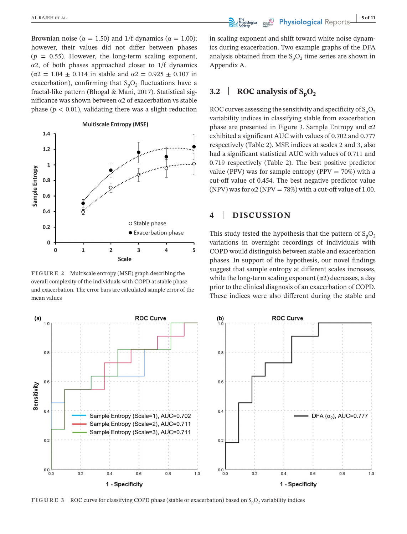Brownian noise ( $\alpha = 1.50$ ) and 1/f dynamics ( $\alpha = 1.00$ ); however, their values did not differ between phases  $(p = 0.55)$ . However, the long-term scaling exponent, α2, of both phases approached closer to 1/f dynamics ( $\alpha$ 2 = 1.04  $\pm$  0.114 in stable and  $\alpha$ 2 = 0.925  $\pm$  0.107 in exacerbation), confirming that  $S_nO_2$  fluctuations have a fractal-like pattern (Bhogal & Mani, 2017). Statistical significance was shown between α2 of exacerbation vs stable phase  $(p < 0.01)$ , validating there was a slight reduction



**FIGURE 2** Multiscale entropy (MSE) graph describing the overall complexity of the individuals with COPD at stable phase and exacerbation. The error bars are calculated sample error of the mean values

in scaling exponent and shift toward white noise dynamics during exacerbation. Two example graphs of the DFA analysis obtained from the  $S_pO_2$  time series are shown in Appendix A.

# **3.2** | **ROC** analysis of  $S_nO_2$

ROC curves assessing the sensitivity and specificity of  $S_nO_2$ variability indices in classifying stable from exacerbation phase are presented in Figure 3. Sample Entropy and  $α2$ exhibited a significant AUC with values of 0.702 and 0.777 respectively (Table 2). MSE indices at scales 2 and 3, also had a significant statistical AUC with values of 0.711 and 0.719 respectively (Table 2). The best positive predictor value (PPV) was for sample entropy (PPV =  $70\%$ ) with a cut-off value of 0.454. The best negative predictor value (NPV) was for  $\alpha$ 2 (NPV = 78%) with a cut-off value of 1.00.

# **4** | **DISCUSSION**

This study tested the hypothesis that the pattern of  $S_pO_2$ variations in overnight recordings of individuals with COPD would distinguish between stable and exacerbation phases. In support of the hypothesis, our novel findings suggest that sample entropy at different scales increases, while the long-term scaling exponent  $(\alpha 2)$  decreases, a day prior to the clinical diagnosis of an exacerbation of COPD. These indices were also different during the stable and



**FIGURE 3** ROC curve for classifying COPD phase (stable or exacerbation) based on S<sub>n</sub>O<sub>2</sub> variability indices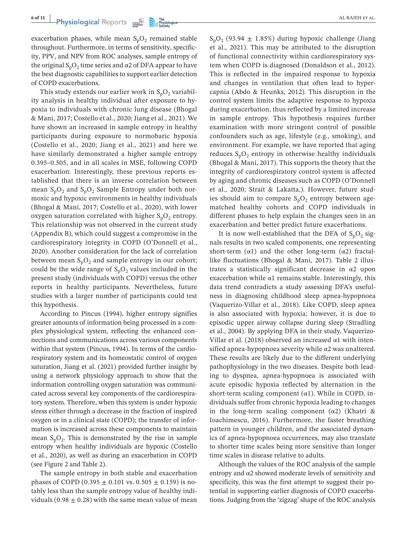exacerbation phases, while mean  $S_pO_2$  remained stable throughout. Furthermore, in terms of sensitivity, specificity, PPV, and NPV from ROC analyses, sample entropy of the original  $S_pO_2$  time series and  $\alpha$ 2 of DFA appear to have the best diagnostic capabilities to support earlier detection of COPD exacerbations.

This study extends our earlier work in  $S_pO_2$  variability analysis in healthy individual after exposure to hypoxia to individuals with chronic lung disease (Bhogal & Mani, 2017; Costello et al., 2020; Jiang et al., 2021). We have shown an increased in sample entropy in healthy participants during exposure to normobaric hypoxia (Costello et al., 2020; Jiang et al., 2021) and here we have similarly demonstrated a higher sample entropy 0.395–0.505, and in all scales in MSE, following COPD exacerbation. Interestingly, these previous reports established that there is an inverse correlation between mean  $S_pO_2$  and  $S_pO_2$  Sample Entropy under both normoxic and hypoxic environments in healthy individuals (Bhogal & Mani, 2017; Costello et al., 2020), with lower oxygen saturation correlated with higher  $S_pO_2$  entropy. This relationship was not observed in the current study (Appendix B), which could suggest a compromise in the cardiorespiratory integrity in COPD (O'Donnell et al., 2020). Another consideration for the lack of correlation between mean  $S_pO_2$  and sample entropy in our cohort; could be the wide range of  $S_pO_2$  values included in the present study (individuals with COPD) versus the other reports in healthy participants. Nevertheless, future studies with a larger number of participants could test this hypothesis.

According to Pincus (1994), higher entropy signifies greater amounts of information being processed in a complex physiological system, reflecting the enhanced connections and communications across various components within that system (Pincus, 1994). In terms of the cardiorespiratory system and its homeostatic control of oxygen saturation, Jiang et al. (2021) provided further insight by using a network physiology approach to show that the information controlling oxygen saturation was communicated across several key components of the cardiorespiratory system. Therefore, when this system is under hypoxic stress either through a decrease in the fraction of inspired oxygen or in a clinical state (COPD); the transfer of information is increased across these components to maintain mean  $S_pO_2$ . This is demonstrated by the rise in sample entropy when healthy individuals are hypoxic (Costello et al., 2020), as well as during an exacerbation in COPD (see Figure 2 and Table 2).

The sample entropy in both stable and exacerbation phases of COPD (0.395  $\pm$  0.101 vs. 0.505  $\pm$  0.159) is notably less than the sample entropy value of healthy individuals (0.98  $\pm$  0.28) with the same mean value of mean  $S_pO_2$  (93.94  $\pm$  1.85%) during hypoxic challenge (Jiang et al., 2021). This may be attributed to the disruption of functional connectivity within cardiorespiratory system when COPD is diagnosed (Donaldson et al., 2012). This is reflected in the impaired response to hypoxia and changes in ventilation that often lead to hypercapnia (Abdo & Heunks, 2012). This disruption in the control system limits the adaptive response to hypoxia during exacerbation, thus reflected by a limited increase in sample entropy. This hypothesis requires further examination with more stringent control of possible confounders such as age, lifestyle (e.g., smoking), and environment. For example, we have reported that aging reduces  $S_nO_2$  entropy in otherwise healthy individuals (Bhogal & Mani, 2017). This supports the theory that the integrity of cardiorespiratory control system is affected by aging and chronic diseases such as COPD (O'Donnell et al., 2020; Strait & Lakatta,). However, future studies should aim to compare  $S_nO_2$  entropy between agematched healthy cohorts and COPD individuals in different phases to help explain the changes seen in an exacerbation and better predict future exacerbations.

It is now well-established that the DFA of  $S_nO_2$  signals results in two scaled components, one representing short-term  $(\alpha 1)$  and the other long-term  $(\alpha 2)$  fractallike fluctuations (Bhogal & Mani, 2017). Table 2 illustrates a statistically significant decrease in  $\alpha$ 2 upon exacerbation while  $\alpha$ 1 remains stable. Interestingly, this data trend contradicts a study assessing DFA's usefulness in diagnosing childhood sleep apnea-hypopnoea (Vaquerizo-Villar et al., 2018). Like COPD, sleep apnea is also associated with hypoxia; however, it is due to episodic upper airway collapse during sleep (Stradling et al., 2004). By applying DFA in their study, Vaquerizo-Villar et al. (2018) observed an increased  $\alpha$ 1 with intensified apnea-hypopnoea severity while  $\alpha$ 2 was unaltered. These results are likely due to the different underlying pathophysiology in the two diseases. Despite both leading to dyspnea, apnea-hypopnoea is associated with acute episodic hypoxia reflected by alternation in the short-term scaling component  $(\alpha 1)$ . While in COPD, individuals suffer from chronic hypoxia leading to changes in the long-term scaling component  $(\alpha 2)$  (Khatri & Ioachimescu, 2016). Furthermore, the faster breathing pattern in younger children, and the associated dynamics of apnea-hypopnoea occurrences, may also translate to shorter time scales being more sensitive than longer time scales in disease relative to adults.

Although the values of the ROC analysis of the sample entropy and  $\alpha$ 2 showed moderate levels of sensitivity and specificity, this was the first attempt to suggest their potential in supporting earlier diagnosis of COPD exacerbations. Judging from the 'zigzag' shape of the ROC analysis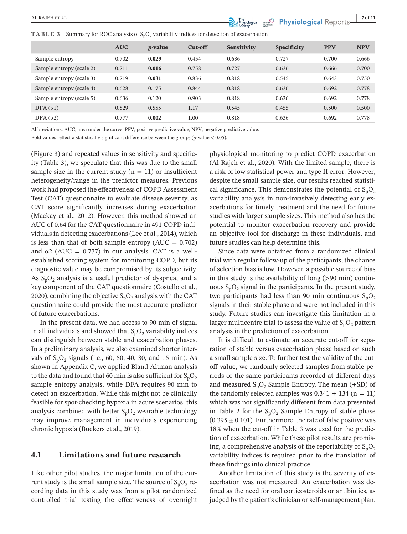**TABLE 3** Summary for ROC analysis of  $S_pO_2$  variability indices for detection of exacerbation

|                          | <b>AUC</b> | <i>p</i> -value | Cut-off | Sensitivity | <b>Specificity</b> | <b>PPV</b> | <b>NPV</b> |
|--------------------------|------------|-----------------|---------|-------------|--------------------|------------|------------|
| Sample entropy           | 0.702      | 0.029           | 0.454   | 0.636       | 0.727              | 0.700      | 0.666      |
| Sample entropy (scale 2) | 0.711      | 0.016           | 0.758   | 0.727       | 0.636              | 0.666      | 0.700      |
| Sample entropy (scale 3) | 0.719      | 0.031           | 0.836   | 0.818       | 0.545              | 0.643      | 0.750      |
| Sample entropy (scale 4) | 0.628      | 0.175           | 0.844   | 0.818       | 0.636              | 0.692      | 0.778      |
| Sample entropy (scale 5) | 0.636      | 0.120           | 0.903   | 0.818       | 0.636              | 0.692      | 0.778      |
| DFA $(\alpha 1)$         | 0.529      | 0.555           | 1.17    | 0.545       | 0.455              | 0.500      | 0.500      |
| DFA $(\alpha 2)$         | 0.777      | 0.002           | 1.00    | 0.818       | 0.636              | 0.692      | 0.778      |

Abbreviations: AUC, area under the curve, PPV, positive predictive value, NPV, negative predictive value.

Bold values reflect a statistically significant difference between the groups (*p*-value < 0.05).

(Figure 3) and repeated values in sensitivity and specificity (Table 3), we speculate that this was due to the small sample size in the current study ( $n = 11$ ) or insufficient heterogeneity/range in the predictor measures. Previous work had proposed the effectiveness of COPD Assessment Test (CAT) questionnaire to evaluate disease severity, as CAT score significantly increases during exacerbation (Mackay et al., 2012). However, this method showed an AUC of 0.64 for the CAT questionnaire in 491 COPD individuals in detecting exacerbations (Lee et al., 2014), which is less than that of both sample entropy  $(AUC = 0.702)$ and  $\alpha$ 2 (AUC = 0.777) in our analysis. CAT is a wellestablished scoring system for monitoring COPD, but its diagnostic value may be compromised by its subjectivity. As  $S_nO_2$  analysis is a useful predictor of dyspnea, and a key component of the CAT questionnaire (Costello et al., 2020), combining the objective  $S_pO_2$  analysis with the CAT questionnaire could provide the most accurate predictor of future exacerbations.

In the present data, we had access to 90 min of signal in all individuals and showed that  $S_pO_2$  variability indices can distinguish between stable and exacerbation phases. In a preliminary analysis, we also examined shorter intervals of  $S_pO_2$  signals (i.e., 60, 50, 40, 30, and 15 min). As shown in Appendix C, we applied Bland-Altman analysis to the data and found that 60 min is also sufficient for  $S_pO_2$ sample entropy analysis, while DFA requires 90 min to detect an exacerbation. While this might not be clinically feasible for spot-checking hypoxia in acute scenarios, this analysis combined with better  $S_pO_2$  wearable technology may improve management in individuals experiencing chronic hypoxia (Buekers et al., 2019).

# **4.1** | **Limitations and future research**

Like other pilot studies, the major limitation of the current study is the small sample size. The source of  $S_pO_2$  recording data in this study was from a pilot randomized controlled trial testing the effectiveness of overnight

physiological monitoring to predict COPD exacerbation (Al Rajeh et al., 2020). With the limited sample, there is a risk of low statistical power and type II error. However, despite the small sample size, our results reached statistical significance. This demonstrates the potential of  $S_pO_2$ variability analysis in non-invasively detecting early exacerbations for timely treatment and the need for future studies with larger sample sizes. This method also has the potential to monitor exacerbation recovery and provide an objective tool for discharge in these individuals, and future studies can help determine this.

Since data were obtained from a randomized clinical trial with regular follow-up of the participants, the chance of selection bias is low. However, a possible source of bias in this study is the availability of long  $(>90 \text{ min})$  continuous  $S_pO_2$  signal in the participants. In the present study, two participants had less than 90 min continuous  $S_pO_2$ signals in their stable phase and were not included in this study. Future studies can investigate this limitation in a larger multicentre trial to assess the value of  $S_pO_2$  pattern analysis in the prediction of exacerbation.

It is difficult to estimate an accurate cut-off for separation of stable versus exacerbation phase based on such a small sample size. To further test the validity of the cutoff value, we randomly selected samples from stable periods of the same participants recorded at different days and measured  $S_pO_2$  Sample Entropy. The mean ( $\pm SD$ ) of the randomly selected samples was  $0.341 \pm 134$  (n = 11) which was not significantly different from data presented in Table 2 for the  $S_pO_2$  Sample Entropy of stable phase  $(0.395 \pm 0.101)$ . Furthermore, the rate of false positive was 18% when the cut-off in Table 3 was used for the prediction of exacerbation. While these pilot results are promising, a comprehensive analysis of the reportability of  $S_pO_2$ variability indices is required prior to the translation of these findings into clinical practice.

Another limitation of this study is the severity of exacerbation was not measured. An exacerbation was defined as the need for oral corticosteroids or antibiotics, as judged by the patient's clinician or self-management plan.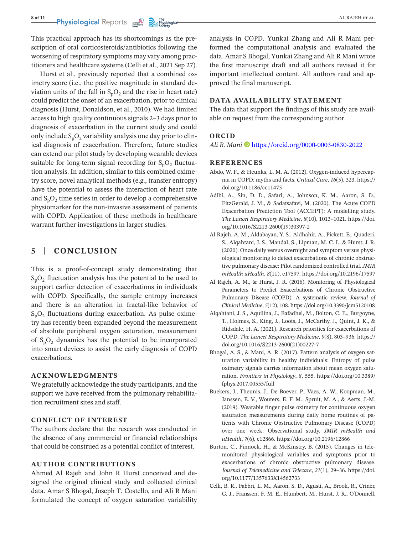This practical approach has its shortcomings as the prescription of oral corticosteroids/antibiotics following the worsening of respiratory symptoms may vary among practitioners and healthcare systems (Celli et al., 2021 Sep 27).

Hurst et al., previously reported that a combined oximetry score (i.e., the positive magnitude in standard deviation units of the fall in  $S_pO_2$  and the rise in heart rate) could predict the onset of an exacerbation, prior to clinical diagnosis (Hurst, Donaldson, et al., 2010). We had limited access to high quality continuous signals 2–3 days prior to diagnosis of exacerbation in the current study and could only include  $S_pO_2$  variability analysis one day prior to clinical diagnosis of exacerbation. Therefore, future studies can extend our pilot study by developing wearable devices suitable for long-term signal recording for  $S_pO_2$  fluctuation analysis. In addition, similar to this combined oximetry score, novel analytical methods (e.g., transfer entropy) have the potential to assess the interaction of heart rate and  $S_pO_2$  time series in order to develop a comprehensive physiomarker for the non-invasive assessment of patients with COPD. Application of these methods in healthcare warrant further investigations in larger studies.

# **5** | **CONCLUSION**

This is a proof-of-concept study demonstrating that  $S_nO_2$  fluctuation analysis has the potential to be used to support earlier detection of exacerbations in individuals with COPD. Specifically, the sample entropy increases and there is an alteration in fractal-like behavior of  $S_pO_2$  fluctuations during exacerbation. As pulse oximetry has recently been expanded beyond the measurement of absolute peripheral oxygen saturation, measurement of  $S_pO_2$  dynamics has the potential to be incorporated into smart devices to assist the early diagnosis of COPD exacerbations.

### **ACKNOWLEDGMENTS**

We gratefully acknowledge the study participants, and the support we have received from the pulmonary rehabilitation recruitment sites and staff.

### **CONFLICT OF INTEREST**

The authors declare that the research was conducted in the absence of any commercial or financial relationships that could be construed as a potential conflict of interest.

### **AUTHOR CONTRIBUTIONS**

Ahmed Al Rajeh and John R Hurst conceived and designed the original clinical study and collected clinical data. Amar S Bhogal, Joseph T. Costello, and Ali R Mani formulated the concept of oxygen saturation variability analysis in COPD. Yunkai Zhang and Ali R Mani performed the computational analysis and evaluated the data. Amar S Bhogal, Yunkai Zhang and Ali R Mani wrote the first manuscript draft and all authors revised it for important intellectual content. All authors read and approved the final manuscript.

### **DATA AVAILABILITY STATEMENT**

The data that support the findings of this study are available on request from the corresponding author.

### **ORCID**

*Ali R. Mani* <https://orcid.org/0000-0003-0830-2022>

### **REFERENCES**

- Abdo, W. F., & Heunks, L. M. A. (2012). Oxygen-induced hypercapnia in COPD: myths and facts. *Critical Care*, *16*(5), 323. [https://](https://doi.org/10.1186/cc11475) [doi.org/10.1186/cc11475](https://doi.org/10.1186/cc11475)
- Adibi, A., Sin, D. D., Safari, A., Johnson, K. M., Aaron, S. D., FitzGerald, J. M., & Sadatsafavi, M. (2020). The Acute COPD Exacerbation Prediction Tool (ACCEPT): A modelling study. *The Lancet Respiratory Medicine*, *8*(10), 1013–1021. [https://doi.](https://doi.org/10.1016/S2213-2600(19)30397-2) [org/10.1016/S2213-2600\(19\)30397-2](https://doi.org/10.1016/S2213-2600(19)30397-2)
- Al Rajeh, A. M., Aldabayan, Y. S., Aldhahir, A., Pickett, E., Quaderi, S., Alqahtani, J. S., Mandal, S., Lipman, M. C. I., & Hurst, J. R. (2020). Once daily versus overnight and symptom versus physiological monitoring to detect exacerbations of chronic obstructive pulmonary disease: Pilot randomized controlled trial.*JMIR mHealth uHealth*, *8*(11), e17597. <https://doi.org/10.2196/17597>
- Al Rajeh, A. M., & Hurst, J. R. (2016). Monitoring of Physiological Parameters to Predict Exacerbations of Chronic Obstructive Pulmonary Disease (COPD): A systematic review. *Journal of Clinical Medicine*, *5*(12), 108. <https://doi.org/10.3390/jcm5120108>
- Alqahtani, J. S., Aquilina, J., Bafadhel, M., Bolton, C. E., Burgoyne, T., Holmes, S., King, J., Loots, J., McCarthy, J., Quint, J. K., & Ridsdale, H. A. (2021). Research priorities for exacerbations of COPD. *The Lancet Respiratory Medicine*, *9*(8), 803–936. [https://](https://doi.org/10.1016/S2213-2600(21)00227-7) [doi.org/10.1016/S2213-2600\(21\)00227-7](https://doi.org/10.1016/S2213-2600(21)00227-7)
- Bhogal, A. S., & Mani, A. R. (2017). Pattern analysis of oxygen saturation variability in healthy individuals: Entropy of pulse oximetry signals carries information about mean oxygen saturation. *Frontiers in Physiology*, *8*, 555. [https://doi.org/10.3389/](https://doi.org/10.3389/fphys.2017.00555/full) [fphys.2017.00555/full](https://doi.org/10.3389/fphys.2017.00555/full)
- Buekers, J., Theunis, J., De Boever, P., Vaes, A. W., Koopman, M., Janssen, E. V., Wouters, E. F. M., Spruit, M. A., & Aerts, J.-M. (2019). Wearable finger pulse oximetry for continuous oxygen saturation measurements during daily home routines of patients with Chronic Obstructive Pulmonary Disease (COPD) over one week: Observational study. *JMIR mHealth and uHealth*, *7*(6), e12866. <https://doi.org/10.2196/12866>
- Burton, C., Pinnock, H., & McKinstry, B. (2015). Changes in telemonitored physiological variables and symptoms prior to exacerbations of chronic obstructive pulmonary disease. *Journal of Telemedicine and Telecare*, *21*(1), 29–36. [https://doi.](https://doi.org/10.1177/1357633X14562733) [org/10.1177/1357633X14562733](https://doi.org/10.1177/1357633X14562733)
- Celli, B. R., Fabbri, L. M., Aaron, S. D., Agusti, A., Brook, R., Criner, G. J., Franssen, F. M. E., Humbert, M., Hurst, J. R., O'Donnell,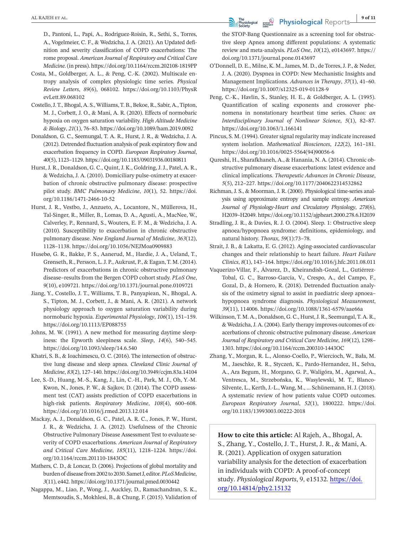D., Pantoni, L., Papi, A., Rodriguez-Roisin, R., Sethi, S., Torres, A., Vogelmeier, C. F., & Wedzicha, J. A. (2021). An Updated definition and severity classification of COPD exacerbations: The rome proposal. *American Journal of Respiratory and Critical Care Medicine*.(in press). <https://doi.org/10.1164/rccm.202108-1819PP>

- Costa, M., Goldberger, A. L., & Peng, C.-K. (2002). Multiscale entropy analysis of complex physiologic time series. *Physical Review Letters*, *89*(6), 068102. [https://doi.org/10.1103/PhysR](https://doi.org/10.1103/PhysRevLett.89.068102) [evLett.89.068102](https://doi.org/10.1103/PhysRevLett.89.068102)
- Costello,J.T., Bhogal, A. S.,Williams,T. B., Bekoe, R., Sabir, A.,Tipton, M. J., Corbett, J. O., & Mani, A. R. (2020). Effects of normobaric hypoxia on oxygen saturation variability. *High Altitude Medicine & Biology*, *21*(1), 76–83. <https://doi.org/10.1089/ham.2019.0092>
- Donaldson, G. C., Seemungal, T. A. R., Hurst, J. R., & Wedzicha, J. A. (2012). Detrended fluctuation analysis of peak expiratory flow and exacerbation frequency in COPD. *European Respiratory Journal*, *40*(5), 1123–1129. <https://doi.org/10.1183/09031936.00180811>
- Hurst, J. R., Donaldson, G. C., Quint, J. K., Goldring, J. J., Patel, A. R., & Wedzicha, J. A. (2010). Domiciliary pulse-oximetry at exacerbation of chronic obstructive pulmonary disease: prospective pilot study. *BMC Pulmonary Medicine*, *10*(1), 52. [https://doi.](https://doi.org/10.1186/1471-2466-10-52) [org/10.1186/1471-2466-10-52](https://doi.org/10.1186/1471-2466-10-52)
- Hurst, J. R., Vestbo, J., Anzueto, A., Locantore, N., Müllerova, H., Tal-Singer, R., Miller, B., Lomas, D. A., Agusti, A., MacNee, W., Calverley, P., Rennard, S., Wouters, E. F. M., & Wedzicha, J. A. (2010). Susceptibility to exacerbation in chronic obstructive pulmonary disease. *New England Journal of Medicine*, *363*(12), 1128–1138. <https://doi.org/10.1056/NEJMoa0909883>
- Husebø, G. R., Bakke, P. S., Aanerud, M., Hardie, J. A., Ueland, T., Grønseth, R., Persson, L.J. P., Aukrust, P., & Eagan,T. M.(2014). Predictors of exacerbations in chronic obstructive pulmonary disease–results from the Bergen COPD cohort study. *PLoS One*, *9*(10), e109721. <https://doi.org/10.1371/journal.pone.0109721>
- Jiang, Y., Costello, J. T., Williams, T. B., Panyapiean, N., Bhogal, A. S., Tipton, M. J., Corbett, J., & Mani, A. R. (2021). A network physiology approach to oxygen saturation variability during normobaric hypoxia. *Experimental Physiology*, *106*(1), 151–159. <https://doi.org/10.1113/EP088755>
- Johns, M. W. (1991). A new method for measuring daytime sleepiness: the Epworth sleepiness scale. *Sleep*, *14*(6), 540–545. <https://doi.org/10.1093/sleep/14.6.540>
- Khatri, S. B., & Ioachimescu, O. C. (2016). The intersection of obstructive lung disease and sleep apnea. *Cleveland Clinic Journal of Medicine*, *83*(2), 127–140. <https://doi.org/10.3949/ccjm.83a.14104>
- Lee, S.-D., Huang, M.-S., Kang, J., Lin, C.-H., Park, M. J., Oh, Y.-M. Kwon, N., Jones, P. W., & Sajkov, D. (2014). The COPD assessment test (CAT) assists prediction of COPD exacerbations in high-risk patients. *Respiratory Medicine*, *108*(4), 600–608. <https://doi.org/10.1016/j.rmed.2013.12.014>
- Mackay, A. J., Donaldson, G. C., Patel, A. R. C., Jones, P. W., Hurst, J. R., & Wedzicha, J. A. (2012). Usefulness of the Chronic Obstructive Pulmonary Disease Assessment Test to evaluate severity of COPD exacerbations. *American Journal of Respiratory and Critical Care Medicine*, *185*(11), 1218–1224. [https://doi.](https://doi.org/10.1164/rccm.201110-1843OC) [org/10.1164/rccm.201110-1843OC](https://doi.org/10.1164/rccm.201110-1843OC)
- Mathers, C. D., & Loncar, D. (2006). Projections of global mortality and burden of disease from 2002 to 2030. Samet J, editor. *PLoS Medicine*, *3*(11), e442. <https://doi.org/10.1371/journal.pmed.0030442>
- Nagappa, M., Liao, P., Wong, J., Auckley, D., Ramachandran, S. K., Memtsoudis, S., Mokhlesi, B., & Chung, F. (2015). Validation of

the STOP-Bang Questionnaire as a screening tool for obstructive sleep Apnea among different populations: A systematic review and meta-analysis. *PLoS One*, *10*(12), e0143697. [https://](https://doi.org/10.1371/journal.pone.0143697) [doi.org/10.1371/journal.pone.0143697](https://doi.org/10.1371/journal.pone.0143697)

- O'Donnell, D. E., Milne, K. M.,James, M. D., de Torres,J. P., & Neder, J. A. (2020). Dyspnea in COPD: New Mechanistic Insights and Management Implications. *Advances in Therapy*, *37*(1), 41–60. <https://doi.org/10.1007/s12325-019-01128-9>
- Peng, C.-K., Havlin, S., Stanley, H. E., & Goldberger, A. L. (1995). Quantification of scaling exponents and crossover phenomena in nonstationary heartbeat time series. *Chaos: an Interdisciplinary Journal of Nonlinear Science*, *5*(1), 82–87. <https://doi.org/10.1063/1.166141>
- Pincus, S. M. (1994). Greater signal regularity may indicate increased system isolation. *Mathematical Biosciences*, *122*(2), 161–181. [https://doi.org/10.1016/0025-5564\(94\)90056-6](https://doi.org/10.1016/0025-5564(94)90056-6)
- Qureshi, H., Sharafkhaneh, A., & Hanania, N. A. (2014). Chronic obstructive pulmonary disease exacerbations: latest evidence and clinical implications. *Therapeutic Advances in Chronic Disease*, *5*(5), 212–227. <https://doi.org/10.1177/2040622314532862>
- Richman, J. S., & Moorman, J. R. (2000). Physiological time-series analysis using approximate entropy and sample entropy. *American Journal of Physiology-Heart and Circulatory Physiology*, *278*(6), H2039–H2049. <https://doi.org/10.1152/ajpheart.2000.278.6.H2039>
- Stradling, J. R., & Davies, R. J. O. (2004). Sleep. 1: Obstructive sleep apnoea/hypopnoea syndrome: definitions, epidemiology, and natural history. *Thorax*, *59*(1):73–78.
- Strait, J. B., & Lakatta, E. G. (2012). Aging-associated cardiovascular changes and their relationship to heart failure. *Heart Failure Clinics*, *8*(1), 143–164. <https://doi.org/10.1016/j.hfc.2011.08.011>
- Vaquerizo-Villar, F., Álvarez, D., Kheirandish-Gozal, L., Gutiérrez-Tobal, G. C., Barroso-García, V., Crespo, A., del Campo, F., Gozal, D., & Hornero, R. (2018). Detrended fluctuation analysis of the oximetry signal to assist in paediatric sleep apnoea– hypopnoea syndrome diagnosis. *Physiological Measurement*, *39*(11), 114006. <https://doi.org/10.1088/1361-6579/aae66a>
- Wilkinson,T. M. A., Donaldson, G.C., Hurst,J.R., Seemungal,T. A.R., & Wedzicha,J. A. (2004). Early therapy improves outcomes of exacerbations of chronic obstructive pulmonary disease. *American Journal of Respiratory and Critical Care Medicine*, *169*(12), 1298– 1303. <https://doi.org/10.1164/rccm.200310-1443OC>
- Zhang, Y., Morgan, R. L., Alonso-Coello, P., Wiercioch, W., Bała, M. M., Jaeschke, R. R., Styczeń, K., Pardo-Hernandez, H., Selva, A., Ara Begum, H., Morgano, G. P., Waligóra, M., Agarwal, A., Ventresca, M., Strzebońska, K., Wasylewski, M. T., Blanco-Silvente, L., Kerth,J.-L., Wang, M., … Schünemann, H.J. (2018). A systematic review of how patients value COPD outcomes. *European Respiratory Journal*, *52*(1), 1800222. [https://doi.](https://doi.org/10.1183/13993003.00222-2018) [org/10.1183/13993003.00222-2018](https://doi.org/10.1183/13993003.00222-2018)

**How to cite this article:** Al Rajeh, A., Bhogal, A. S., Zhang, Y., Costello, J. T., Hurst, J. R., & Mani, A. R. (2021). Application of oxygen saturation variability analysis for the detection of exacerbation in individuals with COPD: A proof-of-concept study. *Physiological Reports*, 9, e15132. [https://doi.](https://doi.org/10.14814/phy2.15132) [org/10.14814/phy2.15132](https://doi.org/10.14814/phy2.15132)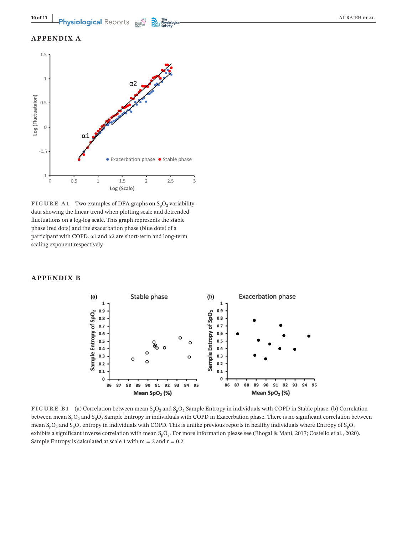# **APPENDIX A**



**FIGURE A1** Two examples of DFA graphs on  $S_pO_2$  variability data showing the linear trend when plotting scale and detrended fluctuations on a log-log scale. This graph represents the stable phase (red dots) and the exacerbation phase (blue dots) of a participant with COPD. α1 and α2 are short-term and long-term scaling exponent respectively

### **APPENDIX B**



**FIGURE B1** (a) Correlation between mean  $S_pO_2$  and  $S_pO_2$  Sample Entropy in individuals with COPD in Stable phase. (b) Correlation between mean  $S_pO_2$  and  $S_pO_2$  Sample Entropy in individuals with COPD in Exacerbation phase. There is no significant correlation between mean  $S_pO_2$  and  $S_pO_2$  entropy in individuals with COPD. This is unlike previous reports in healthy individuals where Entropy of  $S_pO_2$ exhibits a significant inverse correlation with mean  $S_pO_2$ . For more information please see (Bhogal & Mani, 2017; Costello et al., 2020). Sample Entropy is calculated at scale 1 with  $m = 2$  and  $r = 0.2$